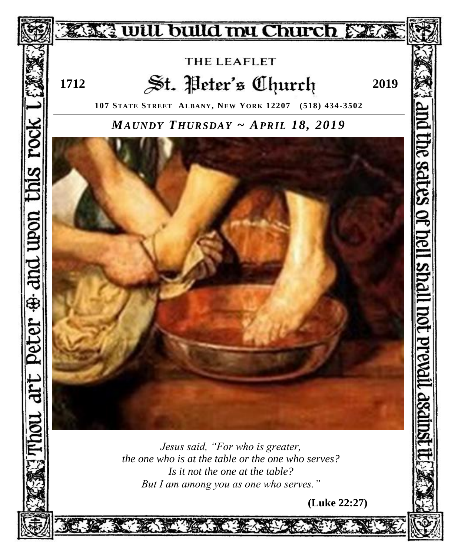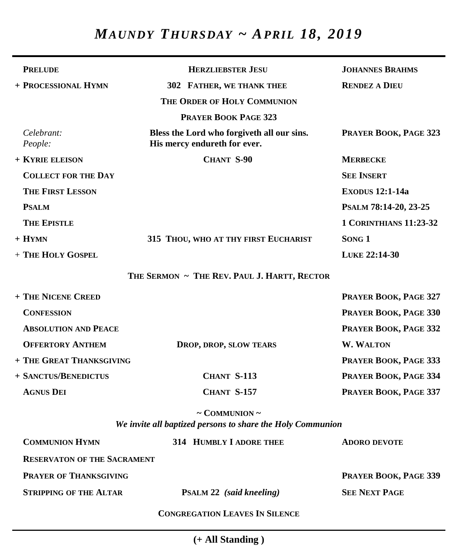# *MAUNDY THURSDAY ~ APRIL 18, 2019*

| <b>PRELUDE</b>                     | <b>HERZLIEBSTER JESU</b>                                                   | <b>JOHANNES BRAHMS</b>        |
|------------------------------------|----------------------------------------------------------------------------|-------------------------------|
| + PROCESSIONAL HYMN                | 302 FATHER, WE THANK THEE                                                  | <b>RENDEZ A DIEU</b>          |
|                                    | THE ORDER OF HOLY COMMUNION                                                |                               |
|                                    | <b>PRAYER BOOK PAGE 323</b>                                                |                               |
| Celebrant:<br>People:              | Bless the Lord who forgiveth all our sins.<br>His mercy endureth for ever. | PRAYER BOOK, PAGE 323         |
| + KYRIE ELEISON                    | CHANT S-90                                                                 | <b>MERBECKE</b>               |
| <b>COLLECT FOR THE DAY</b>         |                                                                            | <b>SEE INSERT</b>             |
| <b>THE FIRST LESSON</b>            |                                                                            | <b>EXODUS 12:1-14a</b>        |
| <b>PSALM</b>                       |                                                                            | PSALM 78:14-20, 23-25         |
| <b>THE EPISTLE</b>                 |                                                                            | <b>1 CORINTHIANS 11:23-32</b> |
| $+$ HYMN                           | 315 THOU, WHO AT THY FIRST EUCHARIST                                       | SONG 1                        |
| + THE HOLY GOSPEL                  |                                                                            | LUKE 22:14-30                 |
|                                    | THE SERMON ~ THE REV. PAUL J. HARTT, RECTOR                                |                               |
| + THE NICENE CREED                 |                                                                            | PRAYER BOOK, PAGE 327         |
| <b>CONFESSION</b>                  |                                                                            | PRAYER BOOK, PAGE 330         |
| <b>ABSOLUTION AND PEACE</b>        |                                                                            | PRAYER BOOK, PAGE 332         |
| <b>OFFERTORY ANTHEM</b>            | DROP, DROP, SLOW TEARS                                                     | <b>W. WALTON</b>              |
| + THE GREAT THANKSGIVING           |                                                                            | PRAYER BOOK, PAGE 333         |
| + SANCTUS/BENEDICTUS               | CHANT S-113                                                                | PRAYER BOOK, PAGE 334         |
| <b>AGNUS DEI</b>                   | CHANT S-157                                                                | PRAYER BOOK, PAGE 337         |
|                                    | $\sim$ COMMUNION $\sim$                                                    |                               |
|                                    | We invite all baptized persons to share the Holy Communion                 |                               |
| <b>COMMUNION HYMN</b>              | 314 HUMBLY I ADORE THEE                                                    | <b>ADORO DEVOTE</b>           |
| <b>RESERVATON OF THE SACRAMENT</b> |                                                                            |                               |
| <b>PRAYER OF THANKSGIVING</b>      |                                                                            | PRAYER BOOK, PAGE 339         |
| <b>STRIPPING OF THE ALTAR</b>      | <b>PSALM 22</b> (said kneeling)                                            | <b>SEE NEXT PAGE</b>          |
|                                    | <b>CONGREGATION LEAVES IN SILENCE</b>                                      |                               |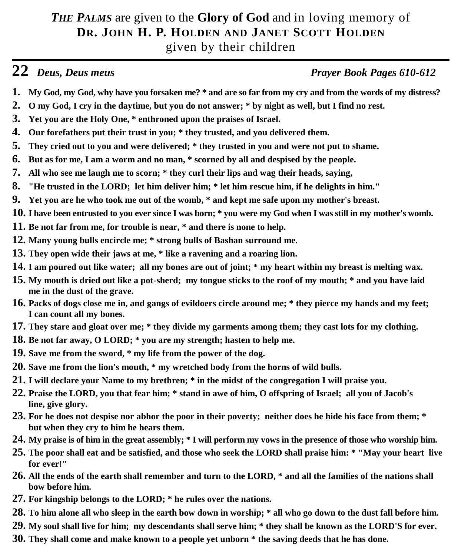## *THE PALMS* are given to the **Glory of God** and in loving memory of **DR. JOHN H. P. HOLDEN AND JANET SCOTT HOLDEN** given by their children

## **22** *Deus, Deus meus Prayer Book Pages 610-612*

- **1. My God, my God, why have you forsaken me? \* and are so far from my cry and from the words of my distress?**
- **2. O my God, I cry in the daytime, but you do not answer; \* by night as well, but I find no rest.**
- **3. Yet you are the Holy One, \* enthroned upon the praises of Israel.**
- **4. Our forefathers put their trust in you; \* they trusted, and you delivered them.**
- **5. They cried out to you and were delivered; \* they trusted in you and were not put to shame.**
- **6. But as for me, I am a worm and no man, \* scorned by all and despised by the people.**
- **7. All who see me laugh me to scorn; \* they curl their lips and wag their heads, saying,**
- **8. "He trusted in the LORD; let him deliver him; \* let him rescue him, if he delights in him."**
- **9. Yet you are he who took me out of the womb, \* and kept me safe upon my mother's breast.**
- **10. I have been entrusted to you ever since I was born; \* you were my God when I was still in my mother's womb.**
- **11. Be not far from me, for trouble is near, \* and there is none to help.**
- **12. Many young bulls encircle me; \* strong bulls of Bashan surround me.**
- **13. They open wide their jaws at me, \* like a ravening and a roaring lion.**
- **14. I am poured out like water; all my bones are out of joint; \* my heart within my breast is melting wax.**
- **15. My mouth is dried out like a pot-sherd; my tongue sticks to the roof of my mouth; \* and you have laid me in the dust of the grave.**
- **16. Packs of dogs close me in, and gangs of evildoers circle around me; \* they pierce my hands and my feet; I can count all my bones.**
- **17. They stare and gloat over me; \* they divide my garments among them; they cast lots for my clothing.**
- **18. Be not far away, O LORD; \* you are my strength; hasten to help me.**
- **19. Save me from the sword, \* my life from the power of the dog.**
- **20. Save me from the lion's mouth, \* my wretched body from the horns of wild bulls.**
- **21. I will declare your Name to my brethren; \* in the midst of the congregation I will praise you.**
- **22. Praise the LORD, you that fear him; \* stand in awe of him, O offspring of Israel; all you of Jacob's line, give glory.**
- **23. For he does not despise nor abhor the poor in their poverty; neither does he hide his face from them; \* but when they cry to him he hears them.**
- **24. My praise is of him in the great assembly; \* I will perform my vows in the presence of those who worship him.**
- **25. The poor shall eat and be satisfied, and those who seek the LORD shall praise him: \* "May your heart live for ever!"**
- **26. All the ends of the earth shall remember and turn to the LORD, \* and all the families of the nations shall bow before him.**
- **27. For kingship belongs to the LORD; \* he rules over the nations.**
- **28. To him alone all who sleep in the earth bow down in worship; \* all who go down to the dust fall before him.**
- **29. My soul shall live for him; my descendants shall serve him; \* they shall be known as the LORD'S for ever.**
- **30. They shall come and make known to a people yet unborn \* the saving deeds that he has done.**